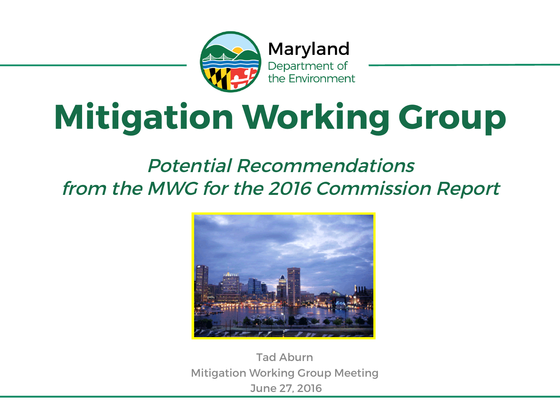

Maryland Department of the Environment

# **Mitigation Working Group**

#### Potential Recommendations from the MWG for the 2016 Commission Report



Tad Aburn Mitigation Working Group Meeting June 27, 2016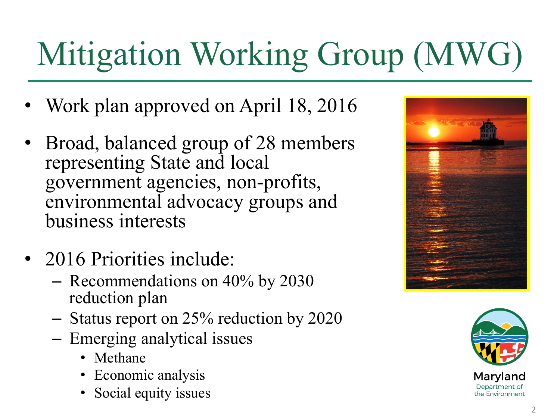# Mitigation Working Group (MWG)

- Work plan approved on April 18, 2016
- Broad, balanced group of 28 members representing State and local government agencies, non-profits, environmental advocacy groups and business interests
- 2016 Priorities include:
	- Recommendations on 40% by 2030 reduction plan
	- Status report on 25% reduction by 2020
	- Emerging analytical issues
		- Methane
		- Economic analysis
		- Social equity issues



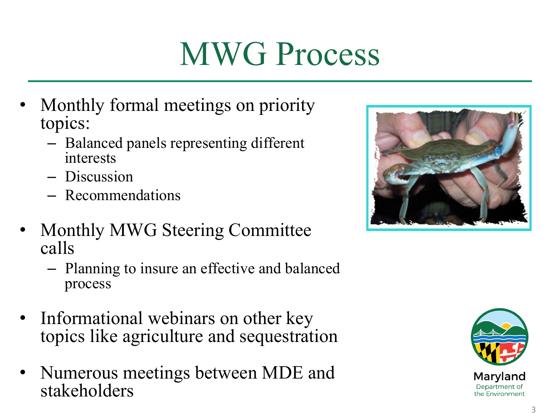#### MWG Process

- Monthly formal meetings on priority topics:
	- Balanced panels representing different interests
	- Discussion
	- Recommendations
- Monthly MWG Steering Committee calls
	- Planning to insure an effective and balanced process
- Informational webinars on other key topics like agriculture and sequestration
- Numerous meetings between MDE and stakeholders



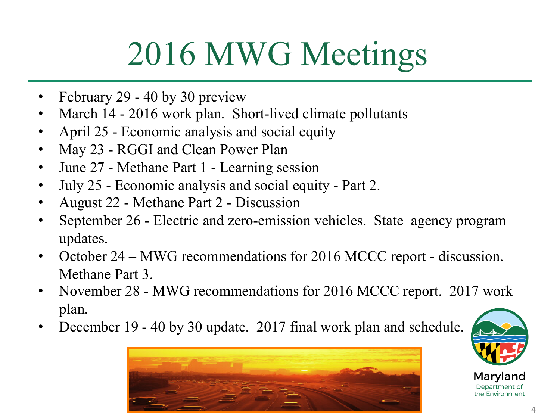#### 2016 MWG Meetings

- February 29 40 by 30 preview
- March 14 2016 work plan. Short-lived climate pollutants
- April 25 Economic analysis and social equity
- May 23 RGGI and Clean Power Plan
- June 27 Methane Part 1 Learning session
- July 25 Economic analysis and social equity Part 2.
- August 22 Methane Part 2 Discussion
- September 26 Electric and zero-emission vehicles. State agency program updates.
- October 24 MWG recommendations for 2016 MCCC report discussion. Methane Part 3.
- November 28 MWG recommendations for 2016 MCCC report. 2017 work plan.
- December 19 40 by 30 update. 2017 final work plan and schedule.



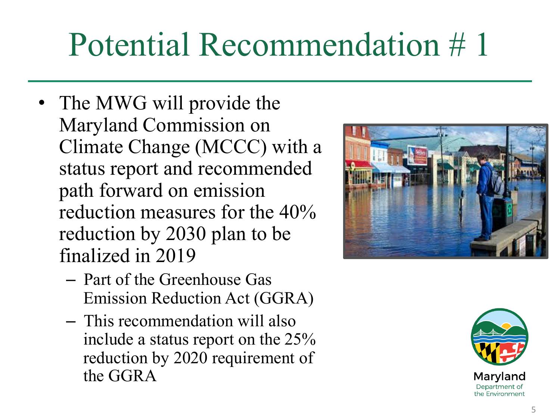- The MWG will provide the Maryland Commission on Climate Change (MCCC) with a status report and recommended path forward on emission reduction measures for the 40% reduction by 2030 plan to be finalized in 2019
	- Part of the Greenhouse Gas Emission Reduction Act (GGRA)
	- This recommendation will also include a status report on the 25% reduction by 2020 requirement of the GGRA



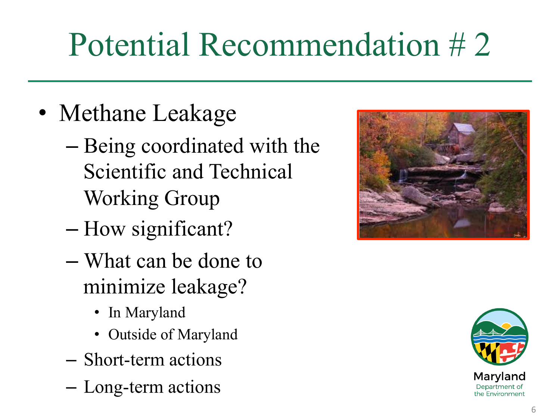- Methane Leakage
	- Being coordinated with the Scientific and Technical Working Group
	- How significant?
	- What can be done to minimize leakage?
		- In Maryland
		- Outside of Maryland
	- Short-term actions
	- Long-term actions



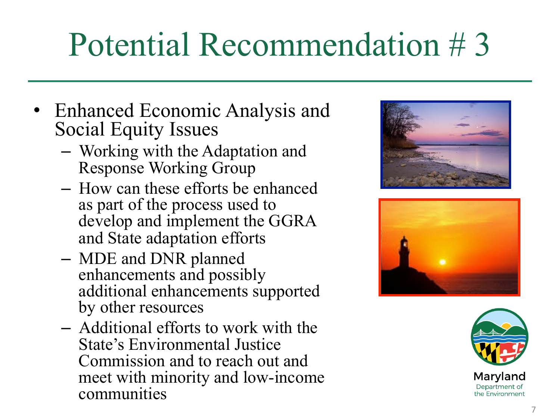- Enhanced Economic Analysis and Social Equity Issues
	- Working with the Adaptation and Response Working Group
	- How can these efforts be enhanced as part of the process used to develop and implement the GGRA and State adaptation efforts
	- MDE and DNR planned enhancements and possibly additional enhancements supported by other resources
	- Additional efforts to work with the State's Environmental Justice Commission and to reach out and meet with minority and low-income communities





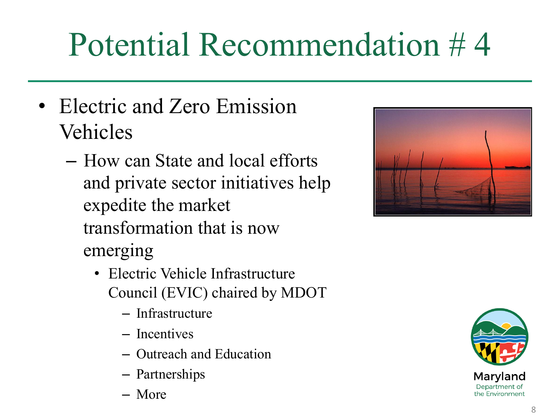- Electric and Zero Emission Vehicles
	- How can State and local efforts and private sector initiatives help expedite the market transformation that is now emerging
		- Electric Vehicle Infrastructure Council (EVIC) chaired by MDOT
			- Infrastructure
			- Incentives
			- Outreach and Education
			- Partnerships
			- More



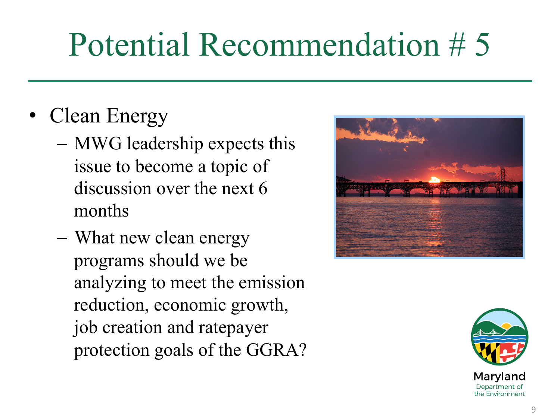- Clean Energy
	- MWG leadership expects this issue to become a topic of discussion over the next 6 months
	- What new clean energy programs should we be analyzing to meet the emission reduction, economic growth, job creation and ratepayer protection goals of the GGRA?